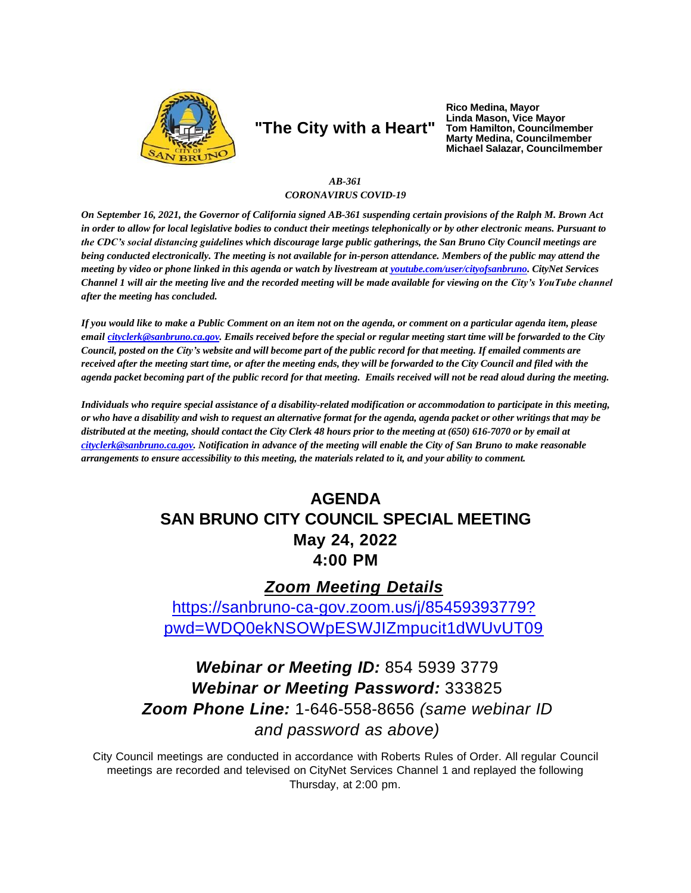

# **"The City with a Heart"**

**Rico Medina, Mayor Linda Mason, Vice Mayor Tom Hamilton, Councilmember Marty Medina, Councilmember Michael Salazar, Councilmember**

#### *AB-361 CORONAVIRUS COVID-19*

On September 16, 2021, the Governor of California signed AB-361 suspending certain provisions of the Ralph M. Brown Act in order to allow for local legislative bodies to conduct their meetings telephonically or by other electronic means. Pursuant to *the CDC's social distancing guidelines which discourage large public gatherings, the San Bruno City Council meetings are*  being conducted electronically. The meeting is not available for in-person attendance. Members of the public may attend the meeting by video or phone linked in this agenda or watch by livestream at voutube.com/user/cityofsanbruno. CityNet Services *Channel 1 will air the meeting live and the recorded meeting will be made available for viewing on the City's YouTube channel after the meeting has concluded.*

*If you would like to make a Public Comment on an item not on the agenda, or comment on a particular agenda item, please*  emai[l cityclerk@sanbruno.ca.gov.](mailto:cityclerk@sanbruno.ca.gov) Emails received before the special or regular meeting start time will be forwarded to the City Council, posted on the City's website and will become part of the public record for that meeting. If emailed comments are received after the meeting start time, or after the meeting ends, they will be forwarded to the City Council and filed with the agenda packet becoming part of the public record for that meeting. Emails received will not be read aloud during the meeting.

*Individuals who require special assistance of a disability-related modification or accommodation to participate in this meeting,*  or who have a disability and wish to request an alternative format for the agenda, agenda packet or other writings that may be distributed at the meeting, should contact the City Clerk 48 hours prior to the meeting at (650) 616-7070 or by email at [cityclerk@sanbruno.ca.gov.](mailto:cityclerk@sanbruno.ca.gov) Notification in advance of the meeting will enable the City of San Bruno to make reasonable arrangements to ensure accessibility to this meeting, the materials related to it, and your ability to comment.

### **AGENDA SAN BRUNO CITY COUNCIL SPECIAL MEETING May 24, 2022 4:00 PM**

### *Zoom Meeting Details*

[https://sanbruno-ca-gov.zoom.us/j/85459393779?](https://sanbruno-ca-gov.zoom.us/j/85459393779?pwd=WDQ0ekNSOWpESWJIZmpucit1dWUvUT09) [pwd=WDQ0ekNSOWpESWJIZmpucit1dWUvUT09](https://sanbruno-ca-gov.zoom.us/j/85459393779?pwd=WDQ0ekNSOWpESWJIZmpucit1dWUvUT09)

# *Webinar or Meeting ID:* 854 5939 3779 *Webinar or Meeting Password:* 333825 *Zoom Phone Line:* 1-646-558-8656 *(same webinar ID and password as above)*

City Council meetings are conducted in accordance with Roberts Rules of Order. All regular Council meetings are recorded and televised on CityNet Services Channel 1 and replayed the following Thursday, at 2:00 pm.